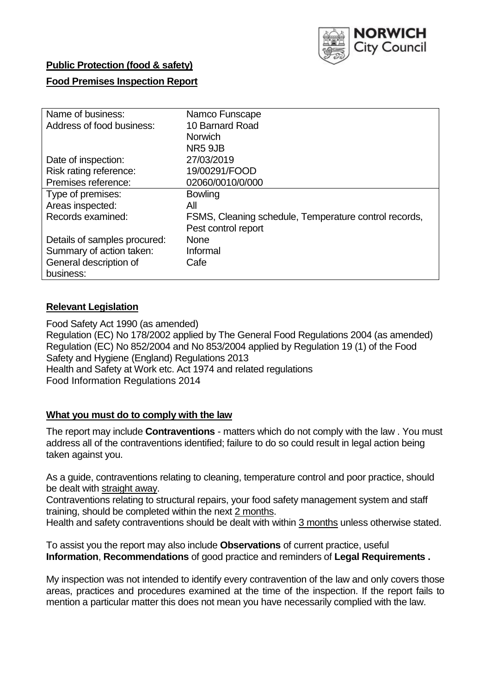

## **Public Protection (food & safety)**

### **Food Premises Inspection Report**

| Name of business:            | Namco Funscape                                        |
|------------------------------|-------------------------------------------------------|
| Address of food business:    | 10 Barnard Road                                       |
|                              | <b>Norwich</b>                                        |
|                              | NR5 9JB                                               |
| Date of inspection:          | 27/03/2019                                            |
| Risk rating reference:       | 19/00291/FOOD                                         |
| Premises reference:          | 02060/0010/0/000                                      |
| Type of premises:            | <b>Bowling</b>                                        |
| Areas inspected:             | All                                                   |
| Records examined:            | FSMS, Cleaning schedule, Temperature control records, |
|                              | Pest control report                                   |
| Details of samples procured: | <b>None</b>                                           |
| Summary of action taken:     | Informal                                              |
| General description of       | Cafe                                                  |
| business:                    |                                                       |

## **Relevant Legislation**

Food Safety Act 1990 (as amended) Regulation (EC) No 178/2002 applied by The General Food Regulations 2004 (as amended) Regulation (EC) No 852/2004 and No 853/2004 applied by Regulation 19 (1) of the Food Safety and Hygiene (England) Regulations 2013 Health and Safety at Work etc. Act 1974 and related regulations Food Information Regulations 2014

### **What you must do to comply with the law**

The report may include **Contraventions** - matters which do not comply with the law . You must address all of the contraventions identified; failure to do so could result in legal action being taken against you.

As a guide, contraventions relating to cleaning, temperature control and poor practice, should be dealt with straight away.

Contraventions relating to structural repairs, your food safety management system and staff training, should be completed within the next 2 months.

Health and safety contraventions should be dealt with within 3 months unless otherwise stated.

To assist you the report may also include **Observations** of current practice, useful **Information**, **Recommendations** of good practice and reminders of **Legal Requirements .**

My inspection was not intended to identify every contravention of the law and only covers those areas, practices and procedures examined at the time of the inspection. If the report fails to mention a particular matter this does not mean you have necessarily complied with the law.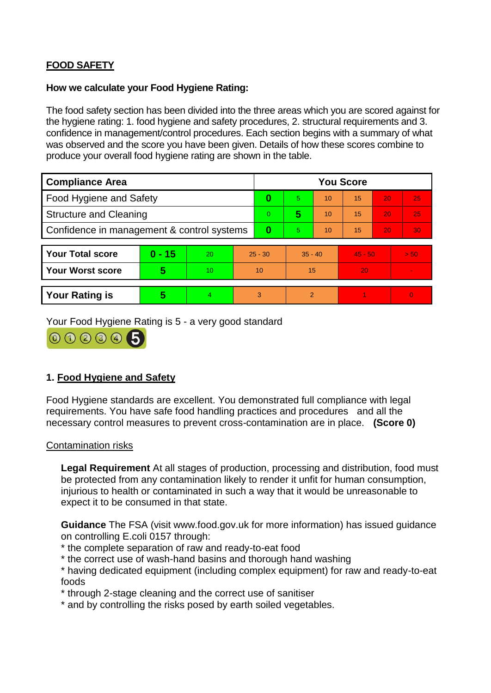# **FOOD SAFETY**

### **How we calculate your Food Hygiene Rating:**

The food safety section has been divided into the three areas which you are scored against for the hygiene rating: 1. food hygiene and safety procedures, 2. structural requirements and 3. confidence in management/control procedures. Each section begins with a summary of what was observed and the score you have been given. Details of how these scores combine to produce your overall food hygiene rating are shown in the table.

| <b>Compliance Area</b>                     |          |    |                | <b>You Score</b> |           |    |           |    |                |  |  |
|--------------------------------------------|----------|----|----------------|------------------|-----------|----|-----------|----|----------------|--|--|
| Food Hygiene and Safety                    |          |    | 0              | 5.               | 10        | 15 | 20        | 25 |                |  |  |
| <b>Structure and Cleaning</b>              |          |    | $\overline{0}$ | 5                | 10        | 15 | 20        | 25 |                |  |  |
| Confidence in management & control systems |          |    | 0              | 5                | 10        | 15 | 20        | 30 |                |  |  |
|                                            |          |    |                |                  |           |    |           |    |                |  |  |
| <b>Your Total score</b>                    | $0 - 15$ | 20 | $25 - 30$      |                  | $35 - 40$ |    | $45 - 50$ |    | > 50           |  |  |
| Your Worst score                           | 5        | 10 | 10             |                  | 15        |    | 20        |    |                |  |  |
|                                            |          |    |                |                  |           |    |           |    |                |  |  |
| <b>Your Rating is</b>                      | 5        | 4. | 3              |                  | 2         |    |           |    | $\overline{0}$ |  |  |

Your Food Hygiene Rating is 5 - a very good standard



# **1. Food Hygiene and Safety**

Food Hygiene standards are excellent. You demonstrated full compliance with legal requirements. You have safe food handling practices and procedures and all the necessary control measures to prevent cross-contamination are in place. **(Score 0)**

### Contamination risks

**Legal Requirement** At all stages of production, processing and distribution, food must be protected from any contamination likely to render it unfit for human consumption, injurious to health or contaminated in such a way that it would be unreasonable to expect it to be consumed in that state.

**Guidance** The FSA (visit www.food.gov.uk for more information) has issued guidance on controlling E.coli 0157 through:

- \* the complete separation of raw and ready-to-eat food
- \* the correct use of wash-hand basins and thorough hand washing

\* having dedicated equipment (including complex equipment) for raw and ready-to-eat foods

\* through 2-stage cleaning and the correct use of sanitiser

\* and by controlling the risks posed by earth soiled vegetables.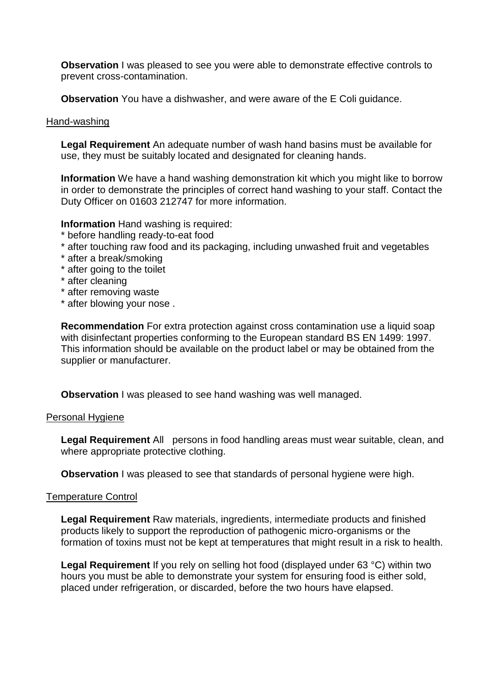**Observation** I was pleased to see you were able to demonstrate effective controls to prevent cross-contamination.

**Observation** You have a dishwasher, and were aware of the E Coli guidance.

#### Hand-washing

**Legal Requirement** An adequate number of wash hand basins must be available for use, they must be suitably located and designated for cleaning hands.

**Information** We have a hand washing demonstration kit which you might like to borrow in order to demonstrate the principles of correct hand washing to your staff. Contact the Duty Officer on 01603 212747 for more information.

**Information** Hand washing is required:

- \* before handling ready-to-eat food
- \* after touching raw food and its packaging, including unwashed fruit and vegetables
- \* after a break/smoking
- \* after going to the toilet
- \* after cleaning
- \* after removing waste
- \* after blowing your nose .

**Recommendation** For extra protection against cross contamination use a liquid soap with disinfectant properties conforming to the European standard BS EN 1499: 1997. This information should be available on the product label or may be obtained from the supplier or manufacturer.

**Observation** I was pleased to see hand washing was well managed.

#### Personal Hygiene

**Legal Requirement** All persons in food handling areas must wear suitable, clean, and where appropriate protective clothing.

**Observation** I was pleased to see that standards of personal hygiene were high.

#### Temperature Control

**Legal Requirement** Raw materials, ingredients, intermediate products and finished products likely to support the reproduction of pathogenic micro-organisms or the formation of toxins must not be kept at temperatures that might result in a risk to health.

**Legal Requirement** If you rely on selling hot food (displayed under 63 °C) within two hours you must be able to demonstrate your system for ensuring food is either sold, placed under refrigeration, or discarded, before the two hours have elapsed.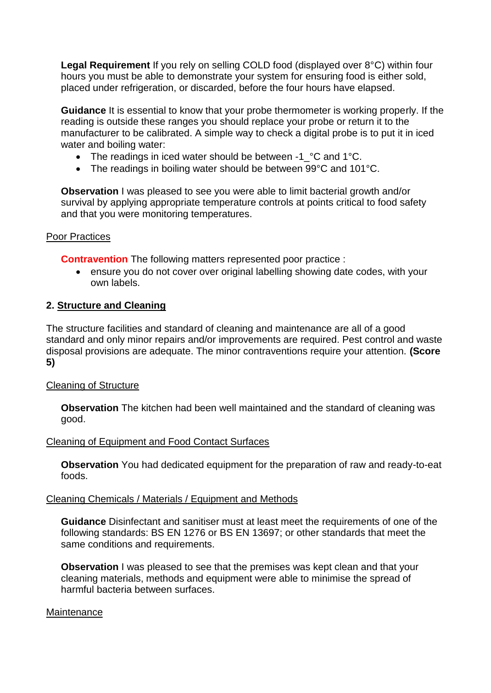**Legal Requirement** If you rely on selling COLD food (displayed over 8°C) within four hours you must be able to demonstrate your system for ensuring food is either sold, placed under refrigeration, or discarded, before the four hours have elapsed.

**Guidance** It is essential to know that your probe thermometer is working properly. If the reading is outside these ranges you should replace your probe or return it to the manufacturer to be calibrated. A simple way to check a digital probe is to put it in iced water and boiling water:

- The readings in iced water should be between -1 °C and 1°C.
- The readings in boiling water should be between 99°C and 101°C.

**Observation** I was pleased to see you were able to limit bacterial growth and/or survival by applying appropriate temperature controls at points critical to food safety and that you were monitoring temperatures.

### Poor Practices

**Contravention** The following matters represented poor practice :

 ensure you do not cover over original labelling showing date codes, with your own labels.

### **2. Structure and Cleaning**

The structure facilities and standard of cleaning and maintenance are all of a good standard and only minor repairs and/or improvements are required. Pest control and waste disposal provisions are adequate. The minor contraventions require your attention. **(Score 5)**

### Cleaning of Structure

**Observation** The kitchen had been well maintained and the standard of cleaning was good.

### Cleaning of Equipment and Food Contact Surfaces

**Observation** You had dedicated equipment for the preparation of raw and ready-to-eat foods.

#### Cleaning Chemicals / Materials / Equipment and Methods

**Guidance** Disinfectant and sanitiser must at least meet the requirements of one of the following standards: BS EN 1276 or BS EN 13697; or other standards that meet the same conditions and requirements.

**Observation** I was pleased to see that the premises was kept clean and that your cleaning materials, methods and equipment were able to minimise the spread of harmful bacteria between surfaces.

#### **Maintenance**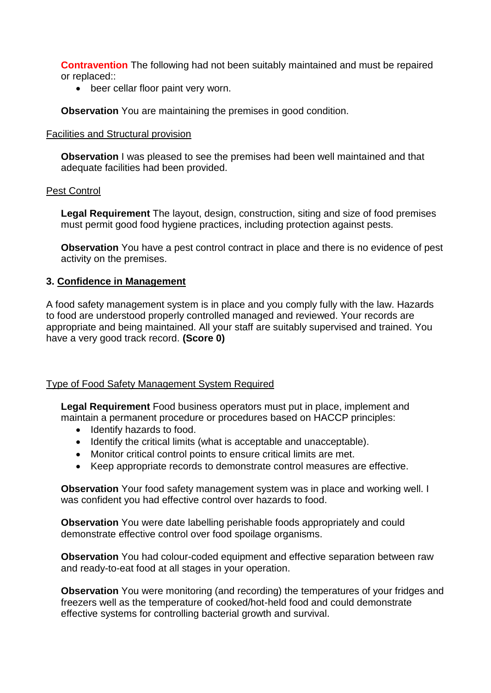**Contravention** The following had not been suitably maintained and must be repaired or replaced::

• beer cellar floor paint very worn.

**Observation** You are maintaining the premises in good condition.

#### Facilities and Structural provision

**Observation** I was pleased to see the premises had been well maintained and that adequate facilities had been provided.

### Pest Control

**Legal Requirement** The layout, design, construction, siting and size of food premises must permit good food hygiene practices, including protection against pests.

**Observation** You have a pest control contract in place and there is no evidence of pest activity on the premises.

### **3. Confidence in Management**

A food safety management system is in place and you comply fully with the law. Hazards to food are understood properly controlled managed and reviewed. Your records are appropriate and being maintained. All your staff are suitably supervised and trained. You have a very good track record. **(Score 0)**

### Type of Food Safety Management System Required

**Legal Requirement** Food business operators must put in place, implement and maintain a permanent procedure or procedures based on HACCP principles:

- Identify hazards to food.
- Identify the critical limits (what is acceptable and unacceptable).
- Monitor critical control points to ensure critical limits are met.
- Keep appropriate records to demonstrate control measures are effective.

**Observation** Your food safety management system was in place and working well. I was confident you had effective control over hazards to food.

**Observation** You were date labelling perishable foods appropriately and could demonstrate effective control over food spoilage organisms.

**Observation** You had colour-coded equipment and effective separation between raw and ready-to-eat food at all stages in your operation.

**Observation** You were monitoring (and recording) the temperatures of your fridges and freezers well as the temperature of cooked/hot-held food and could demonstrate effective systems for controlling bacterial growth and survival.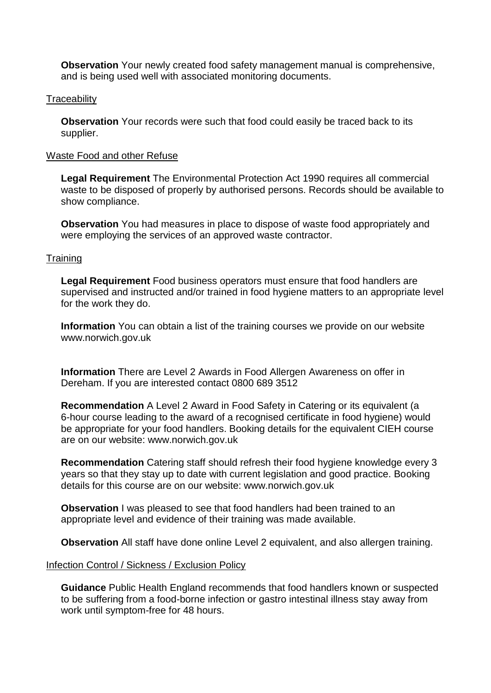**Observation** Your newly created food safety management manual is comprehensive, and is being used well with associated monitoring documents.

#### **Traceability**

**Observation** Your records were such that food could easily be traced back to its supplier.

#### Waste Food and other Refuse

**Legal Requirement** The Environmental Protection Act 1990 requires all commercial waste to be disposed of properly by authorised persons. Records should be available to show compliance.

**Observation** You had measures in place to dispose of waste food appropriately and were employing the services of an approved waste contractor.

### **Training**

**Legal Requirement** Food business operators must ensure that food handlers are supervised and instructed and/or trained in food hygiene matters to an appropriate level for the work they do.

**Information** You can obtain a list of the training courses we provide on our website www.norwich.gov.uk

**Information** There are Level 2 Awards in Food Allergen Awareness on offer in Dereham. If you are interested contact 0800 689 3512

**Recommendation** A Level 2 Award in Food Safety in Catering or its equivalent (a 6-hour course leading to the award of a recognised certificate in food hygiene) would be appropriate for your food handlers. Booking details for the equivalent CIEH course are on our website: www.norwich.gov.uk

**Recommendation** Catering staff should refresh their food hygiene knowledge every 3 years so that they stay up to date with current legislation and good practice. Booking details for this course are on our website: www.norwich.gov.uk

**Observation** I was pleased to see that food handlers had been trained to an appropriate level and evidence of their training was made available.

**Observation** All staff have done online Level 2 equivalent, and also allergen training.

#### Infection Control / Sickness / Exclusion Policy

**Guidance** Public Health England recommends that food handlers known or suspected to be suffering from a food-borne infection or gastro intestinal illness stay away from work until symptom-free for 48 hours.